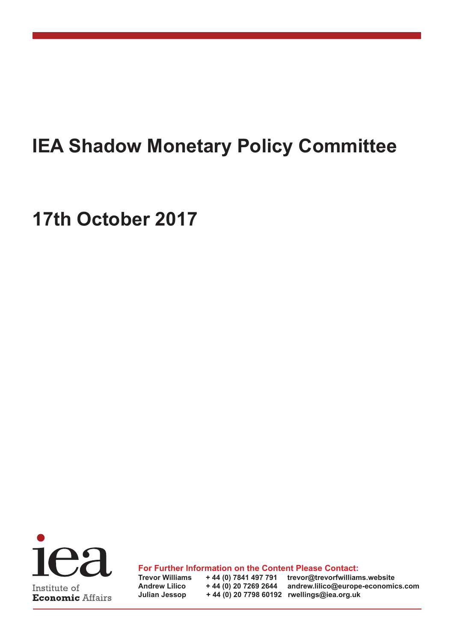# **IEA Shadow Monetary Policy Committee**

# **17th October 2017**



**For Further Information on the Content Please Contact:**

**Trevor Williams + 44 (0) 7841 497 791 trevor@trevorfwilliams.website Andrew Lilico + 44 (0) 20 7269 2644 andrew.lilico@europe-economics.com Julian Jessop + 44 (0) 20 7798 60192 rwellings@iea.org.uk**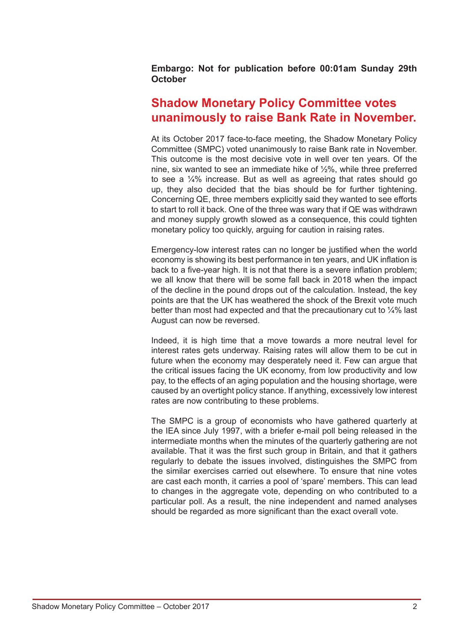**Embargo: Not for publication before 00:01am Sunday 29th October**

# **Shadow Monetary Policy Committee votes unanimously to raise Bank Rate in November.**

At its October 2017 face-to-face meeting, the Shadow Monetary Policy Committee (SMPC) voted unanimously to raise Bank rate in November. This outcome is the most decisive vote in well over ten years. Of the nine, six wanted to see an immediate hike of ½%, while three preferred to see a ¼% increase. But as well as agreeing that rates should go up, they also decided that the bias should be for further tightening. Concerning QE, three members explicitly said they wanted to see efforts to start to roll it back. One of the three was wary that if QE was withdrawn and money supply growth slowed as a consequence, this could tighten monetary policy too quickly, arguing for caution in raising rates.

Emergency-low interest rates can no longer be justified when the world economy is showing its best performance in ten years, and UK inflation is back to a five-year high. It is not that there is a severe inflation problem; we all know that there will be some fall back in 2018 when the impact of the decline in the pound drops out of the calculation. Instead, the key points are that the UK has weathered the shock of the Brexit vote much better than most had expected and that the precautionary cut to  $\frac{1}{4}$ % last August can now be reversed.

Indeed, it is high time that a move towards a more neutral level for interest rates gets underway. Raising rates will allow them to be cut in future when the economy may desperately need it. Few can argue that the critical issues facing the UK economy, from low productivity and low pay, to the effects of an aging population and the housing shortage, were caused by an overtight policy stance. If anything, excessively low interest rates are now contributing to these problems.

The SMPC is a group of economists who have gathered quarterly at the IEA since July 1997, with a briefer e-mail poll being released in the intermediate months when the minutes of the quarterly gathering are not available. That it was the first such group in Britain, and that it gathers regularly to debate the issues involved, distinguishes the SMPC from the similar exercises carried out elsewhere. To ensure that nine votes are cast each month, it carries a pool of 'spare' members. This can lead to changes in the aggregate vote, depending on who contributed to a particular poll. As a result, the nine independent and named analyses should be regarded as more significant than the exact overall vote.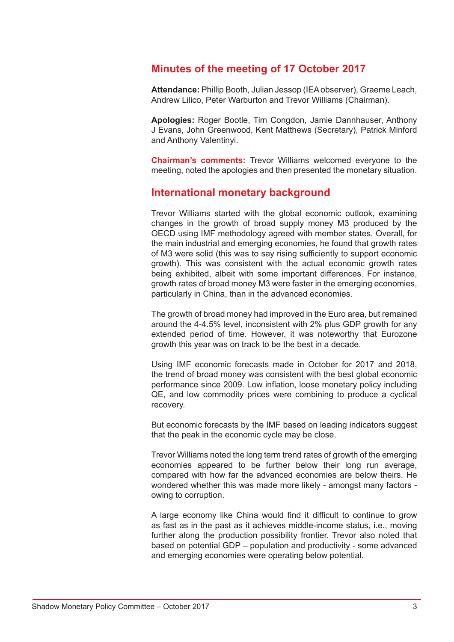# **Minutes of the meeting of 17 October 2017**

**Attendance:** Phillip Booth, Julian Jessop (IEA observer), Graeme Leach, Andrew Lilico, Peter Warburton and Trevor Williams (Chairman).

**Apologies:** Roger Bootle, Tim Congdon, Jamie Dannhauser, Anthony J Evans, John Greenwood, Kent Matthews (Secretary), Patrick Minford and Anthony Valentinyi.

**Chairman's comments:** Trevor Williams welcomed everyone to the meeting, noted the apologies and then presented the monetary situation.

### **International monetary background**

Trevor Williams started with the global economic outlook, examining changes in the growth of broad supply money M3 produced by the OECD using IMF methodology agreed with member states. Overall, for the main industrial and emerging economies, he found that growth rates of M3 were solid (this was to say rising sufficiently to support economic growth). This was consistent with the actual economic growth rates being exhibited, albeit with some important differences. For instance, growth rates of broad money M3 were faster in the emerging economies, particularly in China, than in the advanced economies.

The growth of broad money had improved in the Euro area, but remained around the 4-4.5% level, inconsistent with 2% plus GDP growth for any extended period of time. However, it was noteworthy that Eurozone growth this year was on track to be the best in a decade.

Using IMF economic forecasts made in October for 2017 and 2018, the trend of broad money was consistent with the best global economic performance since 2009. Low inflation, loose monetary policy including QE, and low commodity prices were combining to produce a cyclical recovery.

But economic forecasts by the IMF based on leading indicators suggest that the peak in the economic cycle may be close.

Trevor Williams noted the long term trend rates of growth of the emerging economies appeared to be further below their long run average, compared with how far the advanced economies are below theirs. He wondered whether this was made more likely - amongst many factors owing to corruption.

A large economy like China would find it difficult to continue to grow as fast as in the past as it achieves middle-income status, i.e., moving further along the production possibility frontier. Trevor also noted that based on potential GDP – population and productivity - some advanced and emerging economies were operating below potential.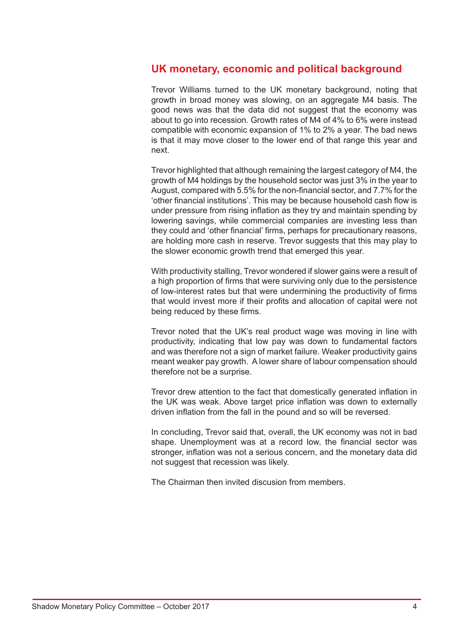## **UK monetary, economic and political background**

Trevor Williams turned to the UK monetary background, noting that growth in broad money was slowing, on an aggregate M4 basis. The good news was that the data did not suggest that the economy was about to go into recession. Growth rates of M4 of 4% to 6% were instead compatible with economic expansion of 1% to 2% a year. The bad news is that it may move closer to the lower end of that range this year and next.

Trevor highlighted that although remaining the largest category of M4, the growth of M4 holdings by the household sector was just 3% in the year to August, compared with 5.5% for the non-financial sector, and 7.7% for the 'other financial institutions'. This may be because household cash flow is under pressure from rising inflation as they try and maintain spending by lowering savings, while commercial companies are investing less than they could and 'other financial' firms, perhaps for precautionary reasons, are holding more cash in reserve. Trevor suggests that this may play to the slower economic growth trend that emerged this year.

With productivity stalling, Trevor wondered if slower gains were a result of a high proportion of firms that were surviving only due to the persistence of low-interest rates but that were undermining the productivity of firms that would invest more if their profits and allocation of capital were not being reduced by these firms.

Trevor noted that the UK's real product wage was moving in line with productivity, indicating that low pay was down to fundamental factors and was therefore not a sign of market failure. Weaker productivity gains meant weaker pay growth. A lower share of labour compensation should therefore not be a surprise.

Trevor drew attention to the fact that domestically generated inflation in the UK was weak. Above target price inflation was down to externally driven inflation from the fall in the pound and so will be reversed.

In concluding, Trevor said that, overall, the UK economy was not in bad shape. Unemployment was at a record low, the financial sector was stronger, inflation was not a serious concern, and the monetary data did not suggest that recession was likely.

The Chairman then invited discusion from members.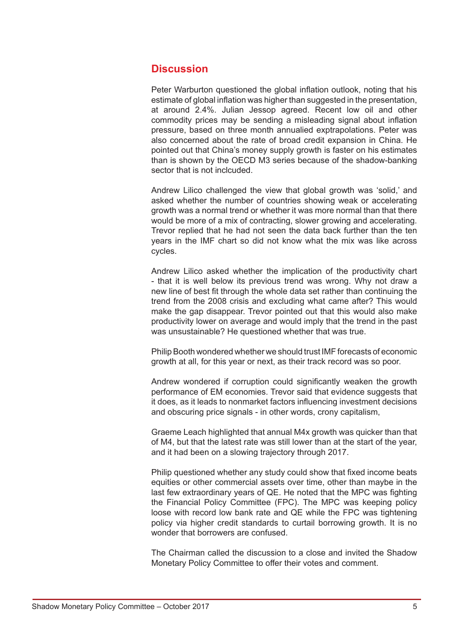# **Discussion**

Peter Warburton questioned the global inflation outlook, noting that his estimate of global inflation was higher than suggested in the presentation, at around 2.4%. Julian Jessop agreed. Recent low oil and other commodity prices may be sending a misleading signal about inflation pressure, based on three month annualied exptrapolations. Peter was also concerned about the rate of broad credit expansion in China. He pointed out that China's money supply growth is faster on his estimates than is shown by the OECD M3 series because of the shadow-banking sector that is not inclcuded.

Andrew Lilico challenged the view that global growth was 'solid,' and asked whether the number of countries showing weak or accelerating growth was a normal trend or whether it was more normal than that there would be more of a mix of contracting, slower growing and accelerating. Trevor replied that he had not seen the data back further than the ten years in the IMF chart so did not know what the mix was like across cycles.

Andrew Lilico asked whether the implication of the productivity chart - that it is well below its previous trend was wrong. Why not draw a new line of best fit through the whole data set rather than continuing the trend from the 2008 crisis and excluding what came after? This would make the gap disappear. Trevor pointed out that this would also make productivity lower on average and would imply that the trend in the past was unsustainable? He questioned whether that was true.

Philip Booth wondered whether we should trust IMF forecasts of economic growth at all, for this year or next, as their track record was so poor.

Andrew wondered if corruption could significantly weaken the growth performance of EM economies. Trevor said that evidence suggests that it does, as it leads to nonmarket factors influencing investment decisions and obscuring price signals - in other words, crony capitalism,

Graeme Leach highlighted that annual M4x growth was quicker than that of M4, but that the latest rate was still lower than at the start of the year, and it had been on a slowing trajectory through 2017.

Philip questioned whether any study could show that fixed income beats equities or other commercial assets over time, other than maybe in the last few extraordinary years of QE. He noted that the MPC was fighting the Financial Policy Committee (FPC). The MPC was keeping policy loose with record low bank rate and QE while the FPC was tightening policy via higher credit standards to curtail borrowing growth. It is no wonder that borrowers are confused.

The Chairman called the discussion to a close and invited the Shadow Monetary Policy Committee to offer their votes and comment.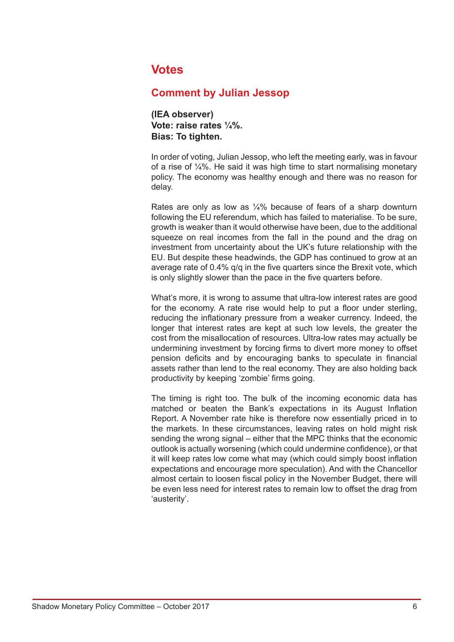# **Votes**

## **Comment by Julian Jessop**

**(IEA observer) Vote: raise rates ¼%. Bias: To tighten.** 

In order of voting, Julian Jessop, who left the meeting early, was in favour of a rise of ¼%. He said it was high time to start normalising monetary policy. The economy was healthy enough and there was no reason for delay.

Rates are only as low as ¼% because of fears of a sharp downturn following the EU referendum, which has failed to materialise. To be sure, growth is weaker than it would otherwise have been, due to the additional squeeze on real incomes from the fall in the pound and the drag on investment from uncertainty about the UK's future relationship with the EU. But despite these headwinds, the GDP has continued to grow at an average rate of 0.4% q/q in the five quarters since the Brexit vote, which is only slightly slower than the pace in the five quarters before.

What's more, it is wrong to assume that ultra-low interest rates are good for the economy. A rate rise would help to put a floor under sterling, reducing the inflationary pressure from a weaker currency. Indeed, the longer that interest rates are kept at such low levels, the greater the cost from the misallocation of resources. Ultra-low rates may actually be undermining investment by forcing firms to divert more money to offset pension deficits and by encouraging banks to speculate in financial assets rather than lend to the real economy. They are also holding back productivity by keeping 'zombie' firms going.

The timing is right too. The bulk of the incoming economic data has matched or beaten the Bank's expectations in its August Inflation Report. A November rate hike is therefore now essentially priced in to the markets. In these circumstances, leaving rates on hold might risk sending the wrong signal – either that the MPC thinks that the economic outlook is actually worsening (which could undermine confidence), or that it will keep rates low come what may (which could simply boost inflation expectations and encourage more speculation). And with the Chancellor almost certain to loosen fiscal policy in the November Budget, there will be even less need for interest rates to remain low to offset the drag from 'austerity'.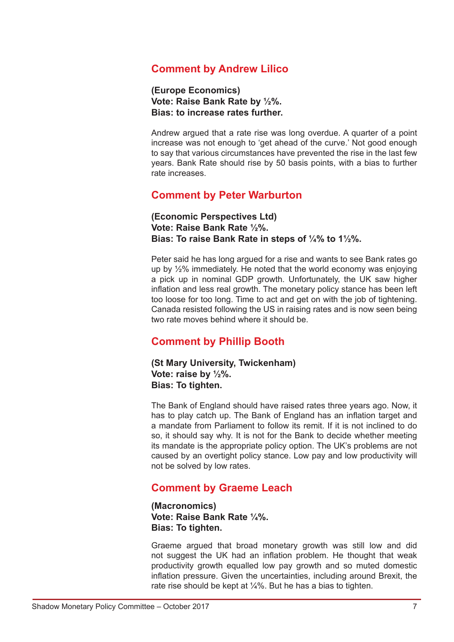# **Comment by Andrew Lilico**

**(Europe Economics) Vote: Raise Bank Rate by ½%. Bias: to increase rates further.** 

Andrew argued that a rate rise was long overdue. A quarter of a point increase was not enough to 'get ahead of the curve.' Not good enough to say that various circumstances have prevented the rise in the last few years. Bank Rate should rise by 50 basis points, with a bias to further rate increases.

## **Comment by Peter Warburton**

**(Economic Perspectives Ltd) Vote: Raise Bank Rate ½%. Bias: To raise Bank Rate in steps of ¼% to 1½%.** 

Peter said he has long argued for a rise and wants to see Bank rates go up by ½% immediately. He noted that the world economy was enjoying a pick up in nominal GDP growth. Unfortunately, the UK saw higher inflation and less real growth. The monetary policy stance has been left too loose for too long. Time to act and get on with the job of tightening. Canada resisted following the US in raising rates and is now seen being two rate moves behind where it should be.

# **Comment by Phillip Booth**

**(St Mary University, Twickenham) Vote: raise by ½%. Bias: To tighten.** 

The Bank of England should have raised rates three years ago. Now, it has to play catch up. The Bank of England has an inflation target and a mandate from Parliament to follow its remit. If it is not inclined to do so, it should say why. It is not for the Bank to decide whether meeting its mandate is the appropriate policy option. The UK's problems are not caused by an overtight policy stance. Low pay and low productivity will not be solved by low rates.

## **Comment by Graeme Leach**

**(Macronomics) Vote: Raise Bank Rate ¼%. Bias: To tighten.** 

Graeme argued that broad monetary growth was still low and did not suggest the UK had an inflation problem. He thought that weak productivity growth equalled low pay growth and so muted domestic inflation pressure. Given the uncertainties, including around Brexit, the rate rise should be kept at  $\frac{1}{4}$ %. But he has a bias to tighten.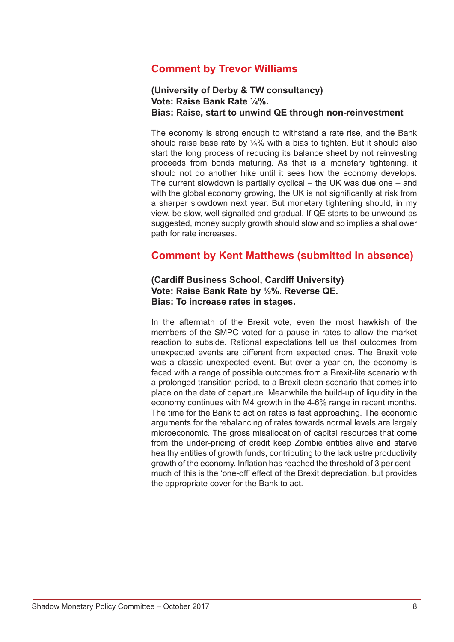# **Comment by Trevor Williams**

#### **(University of Derby & TW consultancy) Vote: Raise Bank Rate ¼%. Bias: Raise, start to unwind QE through non-reinvestment**

The economy is strong enough to withstand a rate rise, and the Bank should raise base rate by  $\frac{1}{4}$ % with a bias to tighten. But it should also start the long process of reducing its balance sheet by not reinvesting proceeds from bonds maturing. As that is a monetary tightening, it should not do another hike until it sees how the economy develops. The current slowdown is partially cyclical – the UK was due one – and with the global economy growing, the UK is not significantly at risk from a sharper slowdown next year. But monetary tightening should, in my view, be slow, well signalled and gradual. If QE starts to be unwound as suggested, money supply growth should slow and so implies a shallower path for rate increases.

### **Comment by Kent Matthews (submitted in absence)**

#### **(Cardiff Business School, Cardiff University) Vote: Raise Bank Rate by ½%. Reverse QE. Bias: To increase rates in stages.**

In the aftermath of the Brexit vote, even the most hawkish of the members of the SMPC voted for a pause in rates to allow the market reaction to subside. Rational expectations tell us that outcomes from unexpected events are different from expected ones. The Brexit vote was a classic unexpected event. But over a year on, the economy is faced with a range of possible outcomes from a Brexit-lite scenario with a prolonged transition period, to a Brexit-clean scenario that comes into place on the date of departure. Meanwhile the build-up of liquidity in the economy continues with M4 growth in the 4-6% range in recent months. The time for the Bank to act on rates is fast approaching. The economic arguments for the rebalancing of rates towards normal levels are largely microeconomic. The gross misallocation of capital resources that come from the under-pricing of credit keep Zombie entities alive and starve healthy entities of growth funds, contributing to the lacklustre productivity growth of the economy. Inflation has reached the threshold of 3 per cent – much of this is the 'one-off' effect of the Brexit depreciation, but provides the appropriate cover for the Bank to act.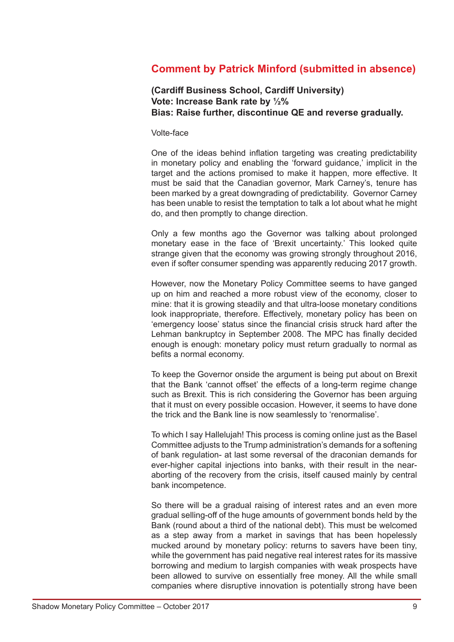# **Comment by Patrick Minford (submitted in absence)**

#### **(Cardiff Business School, Cardiff University) Vote: Increase Bank rate by ½% Bias: Raise further, discontinue QE and reverse gradually.**

#### Volte-face

One of the ideas behind inflation targeting was creating predictability in monetary policy and enabling the 'forward guidance,' implicit in the target and the actions promised to make it happen, more effective. It must be said that the Canadian governor, Mark Carney's, tenure has been marked by a great downgrading of predictability. Governor Carney has been unable to resist the temptation to talk a lot about what he might do, and then promptly to change direction.

Only a few months ago the Governor was talking about prolonged monetary ease in the face of 'Brexit uncertainty.' This looked quite strange given that the economy was growing strongly throughout 2016, even if softer consumer spending was apparently reducing 2017 growth.

However, now the Monetary Policy Committee seems to have ganged up on him and reached a more robust view of the economy, closer to mine: that it is growing steadily and that ultra-loose monetary conditions look inappropriate, therefore. Effectively, monetary policy has been on 'emergency loose' status since the financial crisis struck hard after the Lehman bankruptcy in September 2008. The MPC has finally decided enough is enough: monetary policy must return gradually to normal as befits a normal economy.

To keep the Governor onside the argument is being put about on Brexit that the Bank 'cannot offset' the effects of a long-term regime change such as Brexit. This is rich considering the Governor has been arguing that it must on every possible occasion. However, it seems to have done the trick and the Bank line is now seamlessly to 'renormalise'.

To which I say Hallelujah! This process is coming online just as the Basel Committee adjusts to the Trump administration's demands for a softening of bank regulation- at last some reversal of the draconian demands for ever-higher capital injections into banks, with their result in the nearaborting of the recovery from the crisis, itself caused mainly by central bank incompetence.

So there will be a gradual raising of interest rates and an even more gradual selling-off of the huge amounts of government bonds held by the Bank (round about a third of the national debt). This must be welcomed as a step away from a market in savings that has been hopelessly mucked around by monetary policy: returns to savers have been tiny, while the government has paid negative real interest rates for its massive borrowing and medium to largish companies with weak prospects have been allowed to survive on essentially free money. All the while small companies where disruptive innovation is potentially strong have been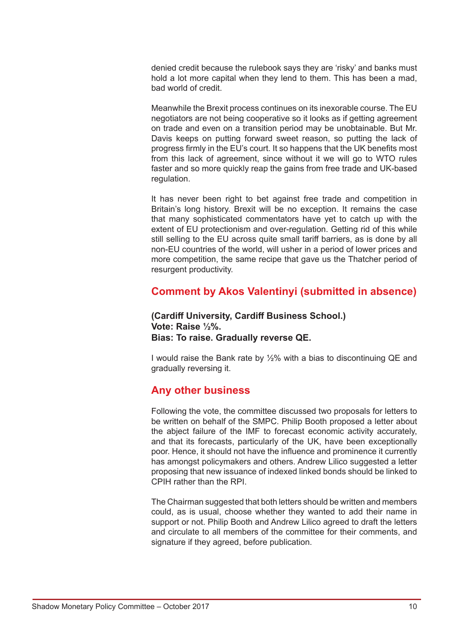denied credit because the rulebook says they are 'risky' and banks must hold a lot more capital when they lend to them. This has been a mad, bad world of credit.

Meanwhile the Brexit process continues on its inexorable course. The EU negotiators are not being cooperative so it looks as if getting agreement on trade and even on a transition period may be unobtainable. But Mr. Davis keeps on putting forward sweet reason, so putting the lack of progress firmly in the EU's court. It so happens that the UK benefits most from this lack of agreement, since without it we will go to WTO rules faster and so more quickly reap the gains from free trade and UK-based regulation.

It has never been right to bet against free trade and competition in Britain's long history. Brexit will be no exception. It remains the case that many sophisticated commentators have yet to catch up with the extent of EU protectionism and over-regulation. Getting rid of this while still selling to the EU across quite small tariff barriers, as is done by all non-EU countries of the world, will usher in a period of lower prices and more competition, the same recipe that gave us the Thatcher period of resurgent productivity.

# **Comment by Akos Valentinyi (submitted in absence)**

#### **(Cardiff University, Cardiff Business School.) Vote: Raise ½%. Bias: To raise. Gradually reverse QE.**

I would raise the Bank rate by ½% with a bias to discontinuing QE and gradually reversing it.

# **Any other business**

Following the vote, the committee discussed two proposals for letters to be written on behalf of the SMPC. Philip Booth proposed a letter about the abject failure of the IMF to forecast economic activity accurately, and that its forecasts, particularly of the UK, have been exceptionally poor. Hence, it should not have the influence and prominence it currently has amongst policymakers and others. Andrew Lilico suggested a letter proposing that new issuance of indexed linked bonds should be linked to CPIH rather than the RPI.

The Chairman suggested that both letters should be written and members could, as is usual, choose whether they wanted to add their name in support or not. Philip Booth and Andrew Lilico agreed to draft the letters and circulate to all members of the committee for their comments, and signature if they agreed, before publication.